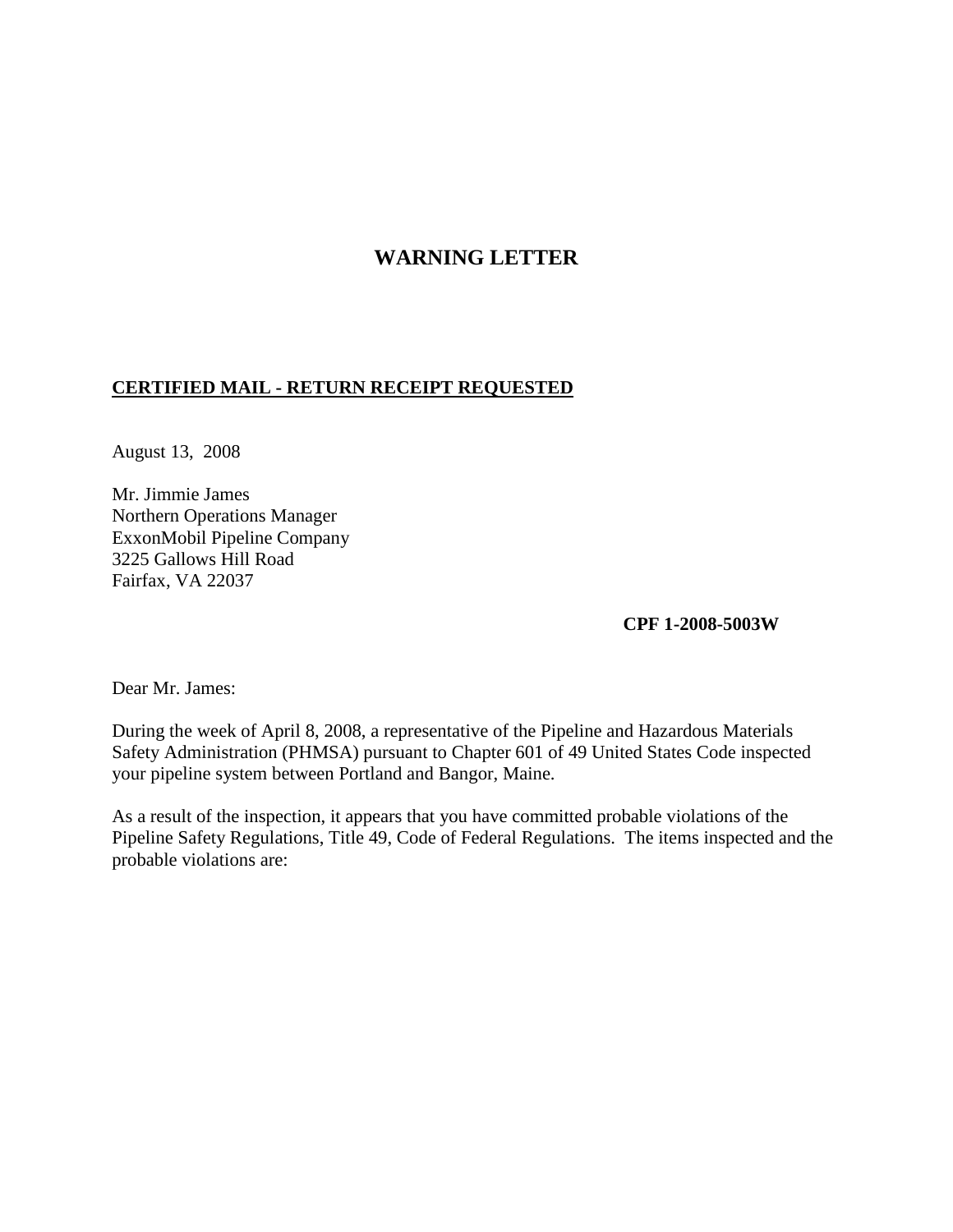## **WARNING LETTER**

## **CERTIFIED MAIL - RETURN RECEIPT REQUESTED**

August 13, 2008

Mr. Jimmie James Northern Operations Manager ExxonMobil Pipeline Company 3225 Gallows Hill Road Fairfax, VA 22037

**CPF 1-2008-5003W**

Dear Mr. James:

During the week of April 8, 2008, a representative of the Pipeline and Hazardous Materials Safety Administration (PHMSA) pursuant to Chapter 601 of 49 United States Code inspected your pipeline system between Portland and Bangor, Maine.

As a result of the inspection, it appears that you have committed probable violations of the Pipeline Safety Regulations, Title 49, Code of Federal Regulations. The items inspected and the probable violations are: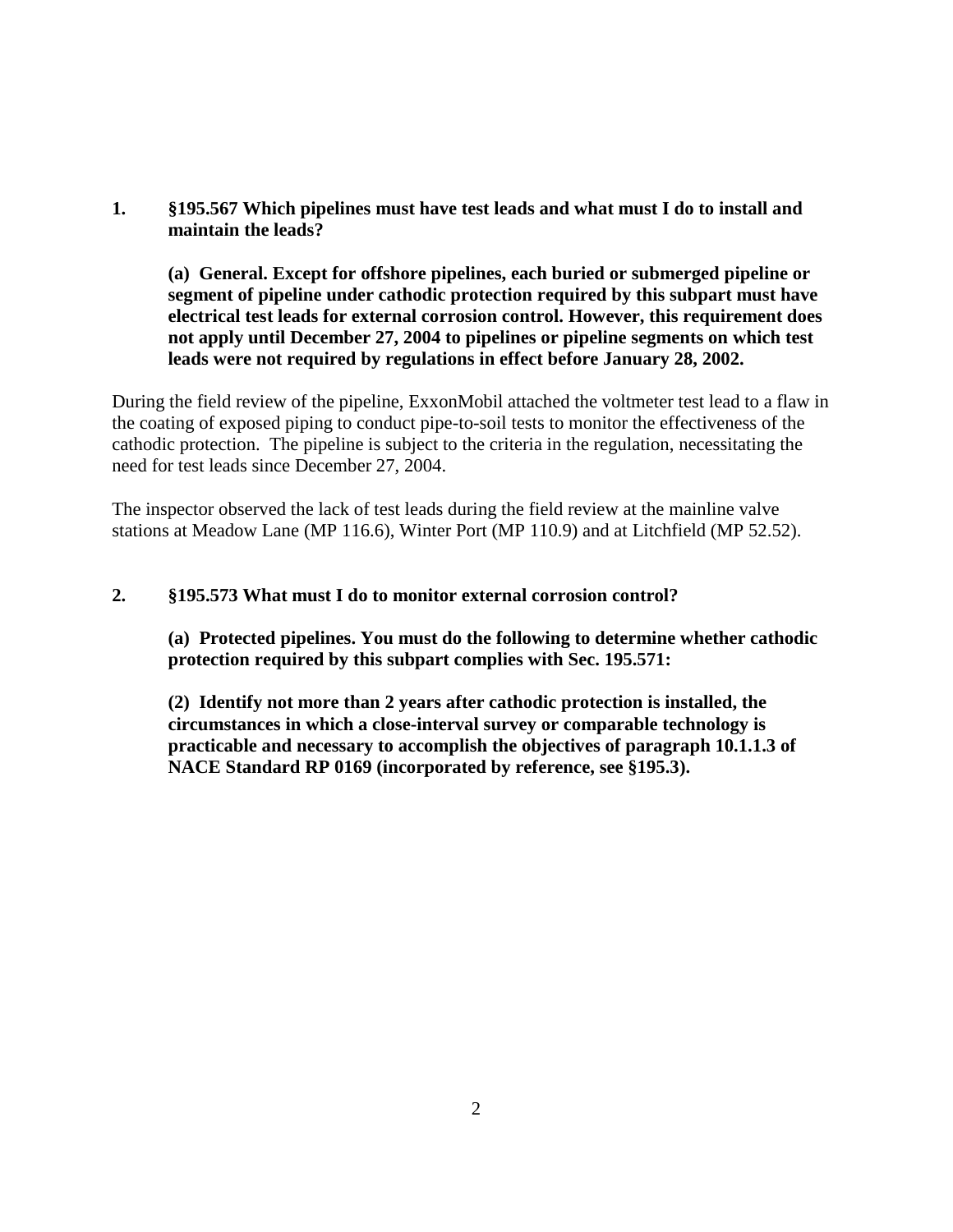**1. §195.567 Which pipelines must have test leads and what must I do to install and maintain the leads?**

**(a) General. Except for offshore pipelines, each buried or submerged pipeline or segment of pipeline under cathodic protection required by this subpart must have electrical test leads for external corrosion control. However, this requirement does not apply until December 27, 2004 to pipelines or pipeline segments on which test leads were not required by regulations in effect before January 28, 2002.**

During the field review of the pipeline, ExxonMobil attached the voltmeter test lead to a flaw in the coating of exposed piping to conduct pipe-to-soil tests to monitor the effectiveness of the cathodic protection. The pipeline is subject to the criteria in the regulation, necessitating the need for test leads since December 27, 2004.

The inspector observed the lack of test leads during the field review at the mainline valve stations at Meadow Lane (MP 116.6), Winter Port (MP 110.9) and at Litchfield (MP 52.52).

## **2. §195.573 What must I do to monitor external corrosion control?**

**(a) Protected pipelines. You must do the following to determine whether cathodic protection required by this subpart complies with Sec. 195.571:**

**(2) Identify not more than 2 years after cathodic protection is installed, the circumstances in which a close-interval survey or comparable technology is practicable and necessary to accomplish the objectives of paragraph 10.1.1.3 of NACE Standard RP 0169 (incorporated by reference, see §195.3).**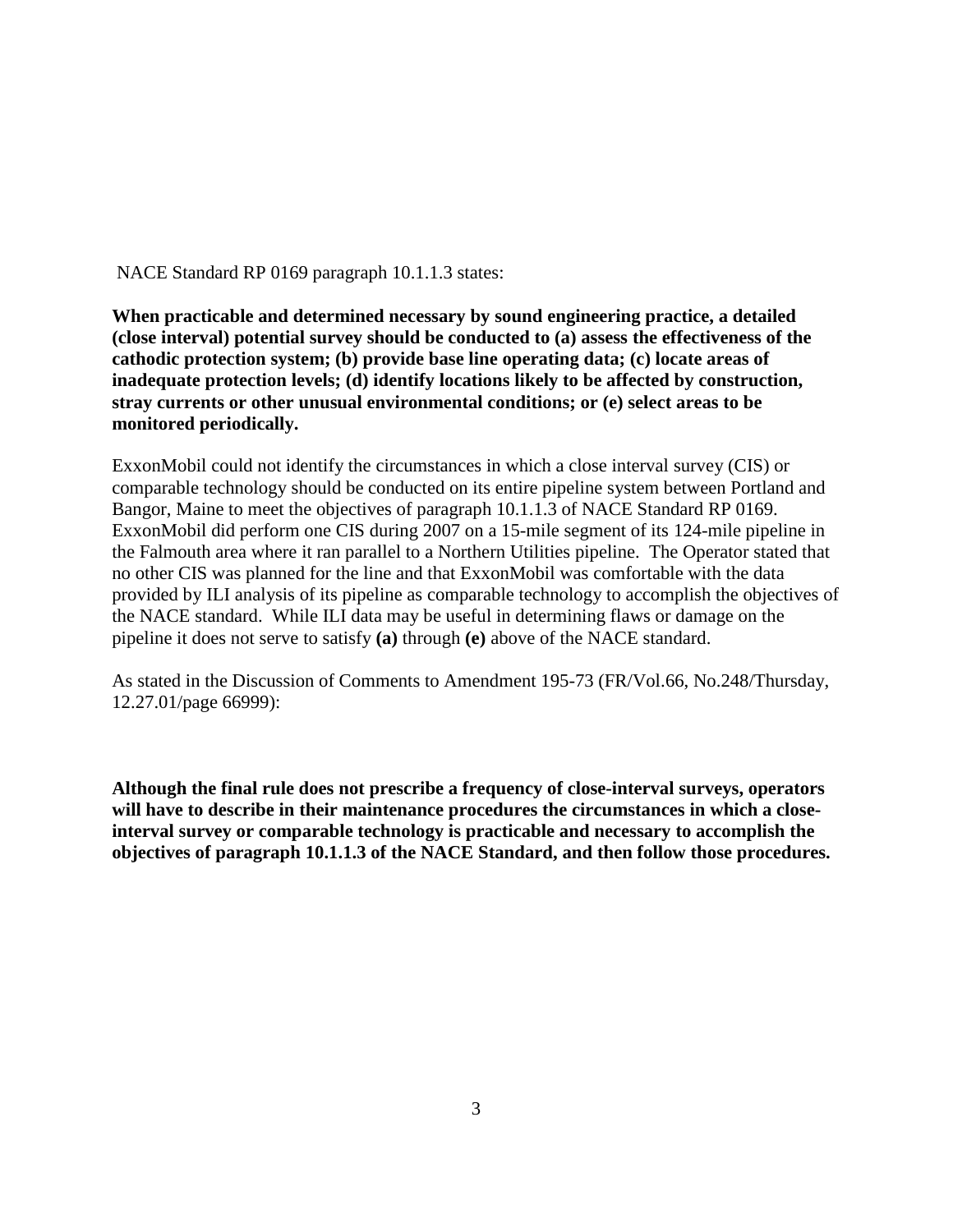NACE Standard RP 0169 paragraph 10.1.1.3 states:

**When practicable and determined necessary by sound engineering practice, a detailed (close interval) potential survey should be conducted to (a) assess the effectiveness of the cathodic protection system; (b) provide base line operating data; (c) locate areas of inadequate protection levels; (d) identify locations likely to be affected by construction, stray currents or other unusual environmental conditions; or (e) select areas to be monitored periodically.**

ExxonMobil could not identify the circumstances in which a close interval survey (CIS) or comparable technology should be conducted on its entire pipeline system between Portland and Bangor, Maine to meet the objectives of paragraph 10.1.1.3 of NACE Standard RP 0169. ExxonMobil did perform one CIS during 2007 on a 15-mile segment of its 124-mile pipeline in the Falmouth area where it ran parallel to a Northern Utilities pipeline. The Operator stated that no other CIS was planned for the line and that ExxonMobil was comfortable with the data provided by ILI analysis of its pipeline as comparable technology to accomplish the objectives of the NACE standard. While ILI data may be useful in determining flaws or damage on the pipeline it does not serve to satisfy **(a)** through **(e)** above of the NACE standard.

As stated in the Discussion of Comments to Amendment 195-73 (FR/Vol.66, No.248/Thursday, 12.27.01/page 66999):

**Although the final rule does not prescribe a frequency of close-interval surveys, operators will have to describe in their maintenance procedures the circumstances in which a closeinterval survey or comparable technology is practicable and necessary to accomplish the objectives of paragraph 10.1.1.3 of the NACE Standard, and then follow those procedures.**